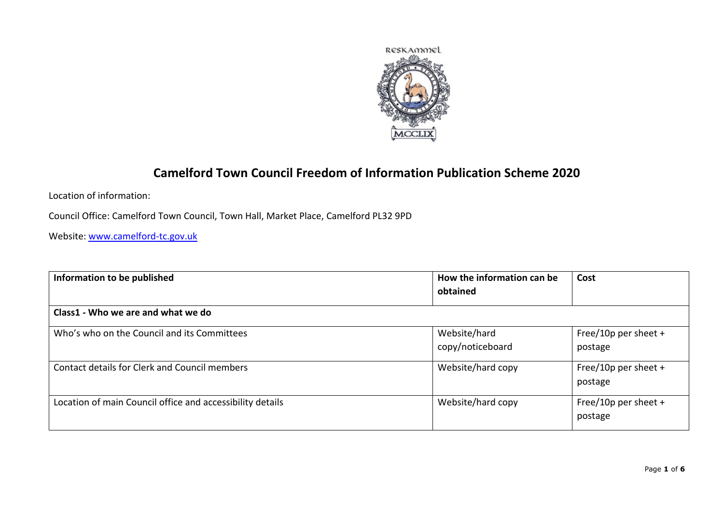

## **Camelford Town Council Freedom of Information Publication Scheme 2020**

Location of information:

Council Office: Camelford Town Council, Town Hall, Market Place, Camelford PL32 9PD

Website: [www.camelford-tc.gov.uk](http://www.camelford-tc.gov.uk/)

| Information to be published                               | How the information can be<br>obtained | Cost                            |
|-----------------------------------------------------------|----------------------------------------|---------------------------------|
| Class1 - Who we are and what we do                        |                                        |                                 |
| Who's who on the Council and its Committees               | Website/hard<br>copy/noticeboard       | Free/10p per sheet +<br>postage |
| Contact details for Clerk and Council members             | Website/hard copy                      | Free/10p per sheet +<br>postage |
| Location of main Council office and accessibility details | Website/hard copy                      | Free/10p per sheet +<br>postage |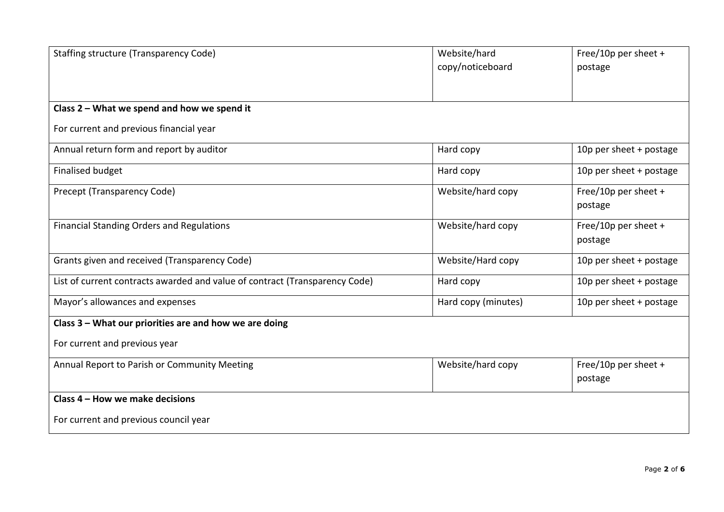| <b>Staffing structure (Transparency Code)</b>                               | Website/hard        | Free/10p per sheet +    |
|-----------------------------------------------------------------------------|---------------------|-------------------------|
|                                                                             | copy/noticeboard    | postage                 |
|                                                                             |                     |                         |
|                                                                             |                     |                         |
| Class 2 - What we spend and how we spend it                                 |                     |                         |
| For current and previous financial year                                     |                     |                         |
| Annual return form and report by auditor                                    | Hard copy           | 10p per sheet + postage |
| <b>Finalised budget</b>                                                     | Hard copy           | 10p per sheet + postage |
| Precept (Transparency Code)                                                 | Website/hard copy   | Free/10p per sheet +    |
|                                                                             |                     | postage                 |
| <b>Financial Standing Orders and Regulations</b>                            | Website/hard copy   | Free/10p per sheet +    |
|                                                                             |                     | postage                 |
| Grants given and received (Transparency Code)                               | Website/Hard copy   | 10p per sheet + postage |
| List of current contracts awarded and value of contract (Transparency Code) | Hard copy           | 10p per sheet + postage |
| Mayor's allowances and expenses                                             | Hard copy (minutes) | 10p per sheet + postage |
| Class 3 - What our priorities are and how we are doing                      |                     |                         |
| For current and previous year                                               |                     |                         |
| Annual Report to Parish or Community Meeting                                | Website/hard copy   | Free/10p per sheet +    |
|                                                                             |                     | postage                 |
| Class 4 - How we make decisions                                             |                     |                         |
| For current and previous council year                                       |                     |                         |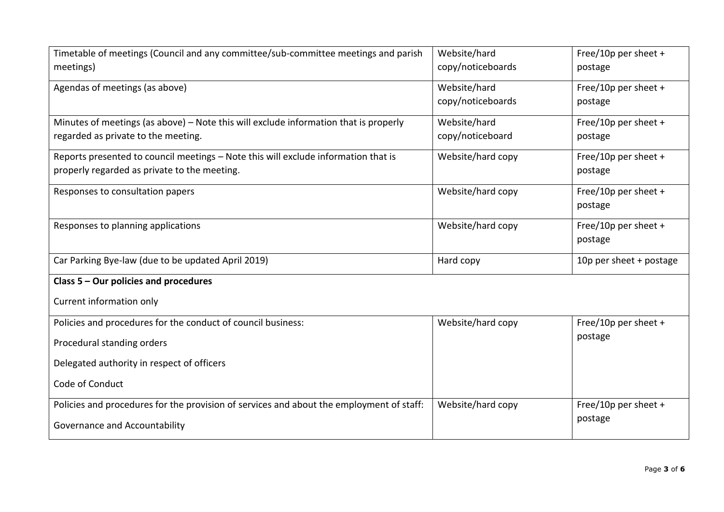| Timetable of meetings (Council and any committee/sub-committee meetings and parish       | Website/hard      | Free/10p per sheet +    |
|------------------------------------------------------------------------------------------|-------------------|-------------------------|
| meetings)                                                                                | copy/noticeboards | postage                 |
| Agendas of meetings (as above)                                                           | Website/hard      | Free/10p per sheet +    |
|                                                                                          | copy/noticeboards | postage                 |
| Minutes of meetings (as above) - Note this will exclude information that is properly     | Website/hard      | Free/10p per sheet +    |
| regarded as private to the meeting.                                                      | copy/noticeboard  | postage                 |
| Reports presented to council meetings - Note this will exclude information that is       | Website/hard copy | Free/10p per sheet +    |
| properly regarded as private to the meeting.                                             |                   | postage                 |
| Responses to consultation papers                                                         | Website/hard copy | Free/10p per sheet +    |
|                                                                                          |                   | postage                 |
| Responses to planning applications                                                       | Website/hard copy | Free/10p per sheet +    |
|                                                                                          |                   | postage                 |
| Car Parking Bye-law (due to be updated April 2019)                                       | Hard copy         | 10p per sheet + postage |
| Class 5 - Our policies and procedures                                                    |                   |                         |
| Current information only                                                                 |                   |                         |
| Policies and procedures for the conduct of council business:                             | Website/hard copy | Free/10p per sheet +    |
| Procedural standing orders                                                               |                   | postage                 |
| Delegated authority in respect of officers                                               |                   |                         |
| Code of Conduct                                                                          |                   |                         |
| Policies and procedures for the provision of services and about the employment of staff: | Website/hard copy | Free/10p per sheet +    |
| Governance and Accountability                                                            |                   | postage                 |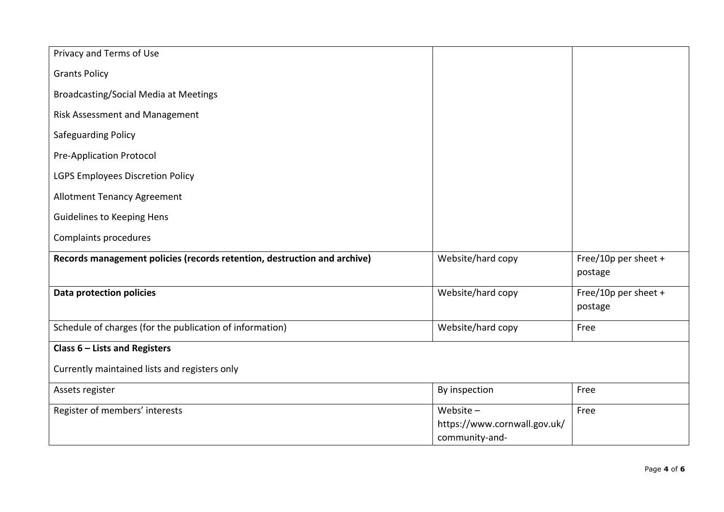| Privacy and Terms of Use                                                 |                                                |                                 |
|--------------------------------------------------------------------------|------------------------------------------------|---------------------------------|
| <b>Grants Policy</b>                                                     |                                                |                                 |
| <b>Broadcasting/Social Media at Meetings</b>                             |                                                |                                 |
| <b>Risk Assessment and Management</b>                                    |                                                |                                 |
| <b>Safeguarding Policy</b>                                               |                                                |                                 |
| <b>Pre-Application Protocol</b>                                          |                                                |                                 |
| LGPS Employees Discretion Policy                                         |                                                |                                 |
| <b>Allotment Tenancy Agreement</b>                                       |                                                |                                 |
| <b>Guidelines to Keeping Hens</b>                                        |                                                |                                 |
| Complaints procedures                                                    |                                                |                                 |
| Records management policies (records retention, destruction and archive) | Website/hard copy                              | Free/10p per sheet +<br>postage |
| <b>Data protection policies</b>                                          | Website/hard copy                              | Free/10p per sheet +<br>postage |
| Schedule of charges (for the publication of information)                 | Website/hard copy                              | Free                            |
| Class $6$ – Lists and Registers                                          |                                                |                                 |
| Currently maintained lists and registers only                            |                                                |                                 |
| Assets register                                                          | By inspection                                  | Free                            |
| Register of members' interests                                           | Website $-$                                    | Free                            |
|                                                                          | https://www.cornwall.gov.uk/<br>community-and- |                                 |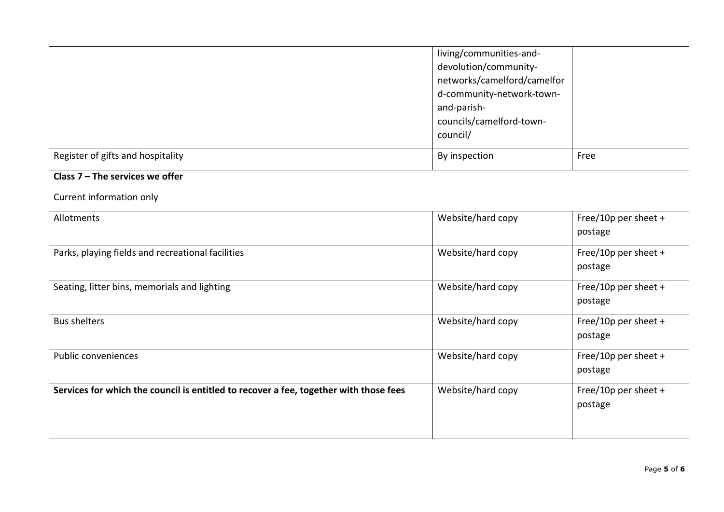|                                                                                       | living/communities-and-<br>devolution/community-<br>networks/camelford/camelfor<br>d-community-network-town-<br>and-parish- |                                 |
|---------------------------------------------------------------------------------------|-----------------------------------------------------------------------------------------------------------------------------|---------------------------------|
|                                                                                       | councils/camelford-town-<br>council/                                                                                        |                                 |
| Register of gifts and hospitality                                                     | By inspection                                                                                                               | Free                            |
| Class $7$ – The services we offer                                                     |                                                                                                                             |                                 |
| Current information only                                                              |                                                                                                                             |                                 |
| Allotments                                                                            | Website/hard copy                                                                                                           | Free/10p per sheet +<br>postage |
| Parks, playing fields and recreational facilities                                     | Website/hard copy                                                                                                           | Free/10p per sheet +<br>postage |
| Seating, litter bins, memorials and lighting                                          | Website/hard copy                                                                                                           | Free/10p per sheet +<br>postage |
| <b>Bus shelters</b>                                                                   | Website/hard copy                                                                                                           | Free/10p per sheet +<br>postage |
| Public conveniences                                                                   | Website/hard copy                                                                                                           | Free/10p per sheet +<br>postage |
| Services for which the council is entitled to recover a fee, together with those fees | Website/hard copy                                                                                                           | Free/10p per sheet +<br>postage |